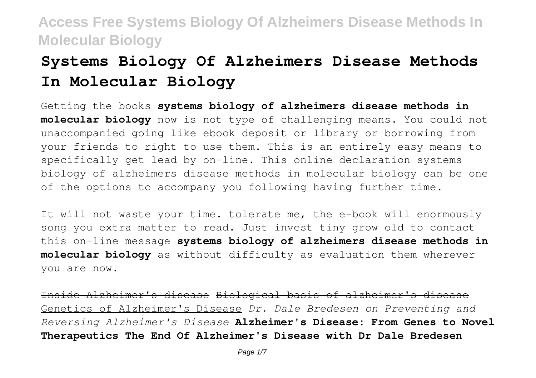# **Systems Biology Of Alzheimers Disease Methods In Molecular Biology**

Getting the books **systems biology of alzheimers disease methods in molecular biology** now is not type of challenging means. You could not unaccompanied going like ebook deposit or library or borrowing from your friends to right to use them. This is an entirely easy means to specifically get lead by on-line. This online declaration systems biology of alzheimers disease methods in molecular biology can be one of the options to accompany you following having further time.

It will not waste your time. tolerate me, the e-book will enormously song you extra matter to read. Just invest tiny grow old to contact this on-line message **systems biology of alzheimers disease methods in molecular biology** as without difficulty as evaluation them wherever you are now.

Inside Alzheimer's disease Biological basis of alzheimer's disease Genetics of Alzheimer's Disease *Dr. Dale Bredesen on Preventing and Reversing Alzheimer's Disease* **Alzheimer's Disease: From Genes to Novel Therapeutics The End Of Alzheimer's Disease with Dr Dale Bredesen**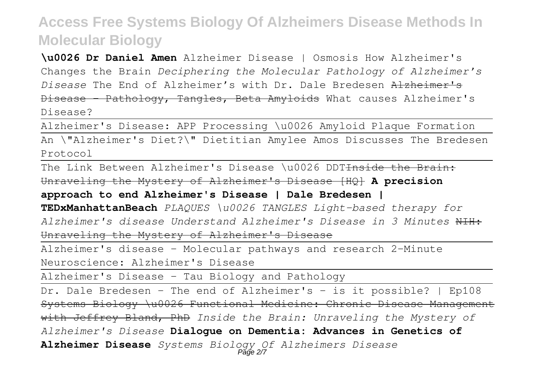**\u0026 Dr Daniel Amen** Alzheimer Disease | Osmosis How Alzheimer's Changes the Brain *Deciphering the Molecular Pathology of Alzheimer's Disease* The End of Alzheimer's with Dr. Dale Bredesen Alzheimer's Disease - Pathology, Tangles, Beta Amyloids What causes Alzheimer's Disease?

Alzheimer's Disease: APP Processing \u0026 Amyloid Plaque Formation An \"Alzheimer's Diet?\" Dietitian Amylee Amos Discusses The Bredesen Protocol

The Link Between Alzheimer's Disease \u0026 DDT<del>Inside the Brain:</del> Unraveling the Mystery of Alzheimer's Disease [HQ] **A precision approach to end Alzheimer's Disease | Dale Bredesen |**

**TEDxManhattanBeach** *PLAQUES \u0026 TANGLES Light-based therapy for Alzheimer's disease Understand Alzheimer's Disease in 3 Minutes* NIH: Unraveling the Mystery of Alzheimer's Disease

Alzheimer's disease - Molecular pathways and research 2-Minute Neuroscience: Alzheimer's Disease

Alzheimer's Disease - Tau Biology and Pathology

Dr. Dale Bredesen - The end of Alzheimer's - is it possible? | Ep108 Systems Biology \u0026 Functional Medicine: Chronic Disease Management with Jeffrey Bland, PhD *Inside the Brain: Unraveling the Mystery of Alzheimer's Disease* **Dialogue on Dementia: Advances in Genetics of Alzheimer Disease** *Systems Biology Of Alzheimers Disease* Page 2/7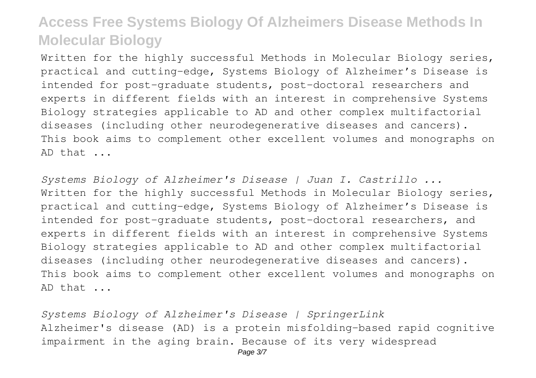Written for the highly successful Methods in Molecular Biology series, practical and cutting-edge, Systems Biology of Alzheimer's Disease is intended for post-graduate students, post-doctoral researchers and experts in different fields with an interest in comprehensive Systems Biology strategies applicable to AD and other complex multifactorial diseases (including other neurodegenerative diseases and cancers). This book aims to complement other excellent volumes and monographs on AD that ...

*Systems Biology of Alzheimer's Disease | Juan I. Castrillo ...* Written for the highly successful Methods in Molecular Biology series, practical and cutting-edge, Systems Biology of Alzheimer's Disease is intended for post-graduate students, post-doctoral researchers, and experts in different fields with an interest in comprehensive Systems Biology strategies applicable to AD and other complex multifactorial diseases (including other neurodegenerative diseases and cancers). This book aims to complement other excellent volumes and monographs on AD that ...

*Systems Biology of Alzheimer's Disease | SpringerLink* Alzheimer's disease (AD) is a protein misfolding-based rapid cognitive impairment in the aging brain. Because of its very widespread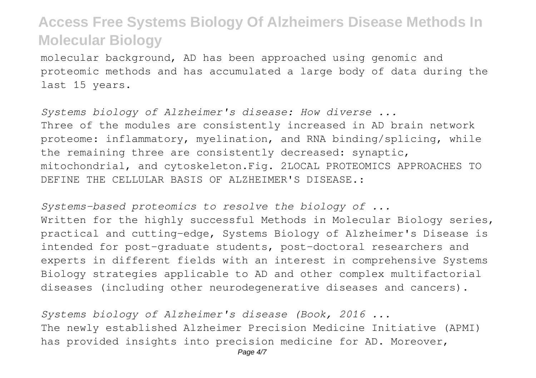molecular background, AD has been approached using genomic and proteomic methods and has accumulated a large body of data during the last 15 years.

*Systems biology of Alzheimer's disease: How diverse ...* Three of the modules are consistently increased in AD brain network proteome: inflammatory, myelination, and RNA binding/splicing, while the remaining three are consistently decreased: synaptic, mitochondrial, and cytoskeleton.Fig. 2LOCAL PROTEOMICS APPROACHES TO DEFINE THE CELLULAR BASIS OF ALZHEIMER'S DISEASE.:

*Systems-based proteomics to resolve the biology of ...* Written for the highly successful Methods in Molecular Biology series, practical and cutting-edge, Systems Biology of Alzheimer's Disease is intended for post-graduate students, post-doctoral researchers and experts in different fields with an interest in comprehensive Systems Biology strategies applicable to AD and other complex multifactorial diseases (including other neurodegenerative diseases and cancers).

*Systems biology of Alzheimer's disease (Book, 2016 ...* The newly established Alzheimer Precision Medicine Initiative (APMI) has provided insights into precision medicine for AD. Moreover,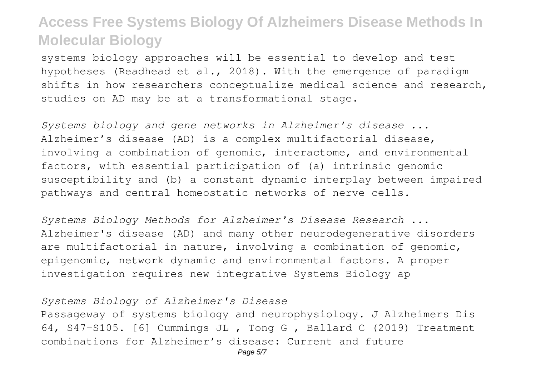systems biology approaches will be essential to develop and test hypotheses (Readhead et al., 2018). With the emergence of paradigm shifts in how researchers conceptualize medical science and research, studies on AD may be at a transformational stage.

*Systems biology and gene networks in Alzheimer's disease ...* Alzheimer's disease (AD) is a complex multifactorial disease, involving a combination of genomic, interactome, and environmental factors, with essential participation of (a) intrinsic genomic susceptibility and (b) a constant dynamic interplay between impaired pathways and central homeostatic networks of nerve cells.

*Systems Biology Methods for Alzheimer's Disease Research ...* Alzheimer's disease (AD) and many other neurodegenerative disorders are multifactorial in nature, involving a combination of genomic, epigenomic, network dynamic and environmental factors. A proper investigation requires new integrative Systems Biology ap

*Systems Biology of Alzheimer's Disease*

Passageway of systems biology and neurophysiology. J Alzheimers Dis 64, S47–S105. [6] Cummings JL , Tong G , Ballard C (2019) Treatment combinations for Alzheimer's disease: Current and future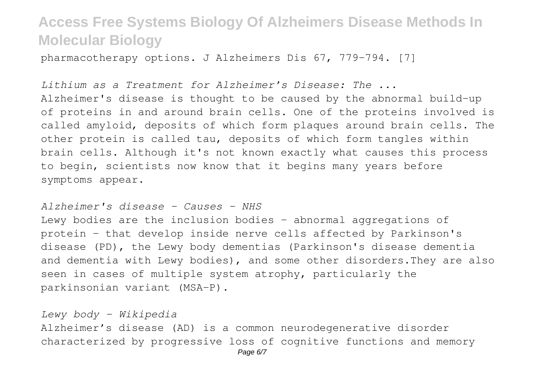pharmacotherapy options. J Alzheimers Dis 67, 779–794. [7]

*Lithium as a Treatment for Alzheimer's Disease: The ...*

Alzheimer's disease is thought to be caused by the abnormal build-up of proteins in and around brain cells. One of the proteins involved is called amyloid, deposits of which form plaques around brain cells. The other protein is called tau, deposits of which form tangles within brain cells. Although it's not known exactly what causes this process to begin, scientists now know that it begins many years before symptoms appear.

*Alzheimer's disease - Causes - NHS*

Lewy bodies are the inclusion bodies – abnormal aggregations of protein – that develop inside nerve cells affected by Parkinson's disease (PD), the Lewy body dementias (Parkinson's disease dementia and dementia with Lewy bodies), and some other disorders.They are also seen in cases of multiple system atrophy, particularly the parkinsonian variant (MSA-P).

*Lewy body - Wikipedia*

Alzheimer's disease (AD) is a common neurodegenerative disorder characterized by progressive loss of cognitive functions and memory